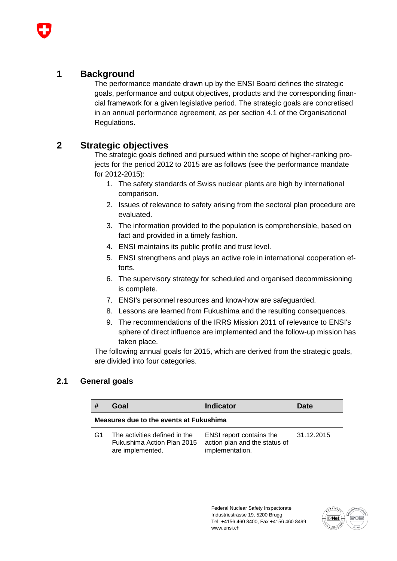### **1 Background**

The performance mandate drawn up by the ENSI Board defines the strategic goals, performance and output objectives, products and the corresponding financial framework for a given legislative period. The strategic goals are concretised in an annual performance agreement, as per section 4.1 of the Organisational Regulations.

### **2 Strategic objectives**

The strategic goals defined and pursued within the scope of higher-ranking projects for the period 2012 to 2015 are as follows (see the performance mandate for 2012-2015):

- 1. The safety standards of Swiss nuclear plants are high by international comparison.
- 2. Issues of relevance to safety arising from the sectoral plan procedure are evaluated.
- 3. The information provided to the population is comprehensible, based on fact and provided in a timely fashion.
- 4. ENSI maintains its public profile and trust level.
- 5. ENSI strengthens and plays an active role in international cooperation efforts.
- 6. The supervisory strategy for scheduled and organised decommissioning is complete.
- 7. ENSI's personnel resources and know-how are safeguarded.
- 8. Lessons are learned from Fukushima and the resulting consequences.
- 9. The recommendations of the IRRS Mission 2011 of relevance to ENSI's sphere of direct influence are implemented and the follow-up mission has taken place.

The following annual goals for 2015, which are derived from the strategic goals, are divided into four categories.

#### **2.1 General goals**

|                | Goal                                                                            | <b>Indicator</b>                                                             | Date       |  |  |
|----------------|---------------------------------------------------------------------------------|------------------------------------------------------------------------------|------------|--|--|
|                | Measures due to the events at Fukushima                                         |                                                                              |            |  |  |
| G <sub>1</sub> | The activities defined in the<br>Fukushima Action Plan 2015<br>are implemented. | ENSI report contains the<br>action plan and the status of<br>implementation. | 31.12.2015 |  |  |

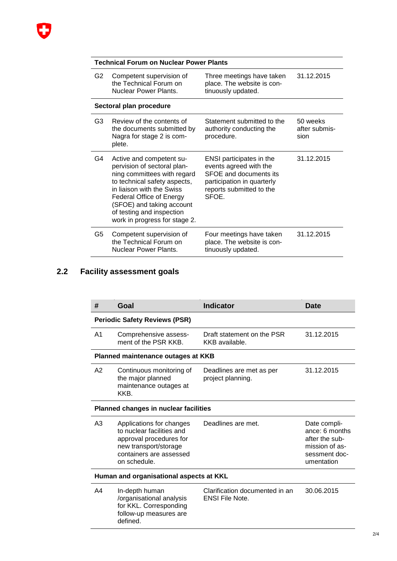# **Technical Forum on Nuclear Power Plants**

| G2  | Competent supervision of<br>the Technical Forum on<br>Nuclear Power Plants.                                                                                                                                                                                                       | Three meetings have taken<br>place. The website is con-<br>tinuously updated.                                                                          | 31.12.2015                        |
|-----|-----------------------------------------------------------------------------------------------------------------------------------------------------------------------------------------------------------------------------------------------------------------------------------|--------------------------------------------------------------------------------------------------------------------------------------------------------|-----------------------------------|
|     | Sectoral plan procedure                                                                                                                                                                                                                                                           |                                                                                                                                                        |                                   |
| G3. | Review of the contents of<br>the documents submitted by<br>Nagra for stage 2 is com-<br>plete.                                                                                                                                                                                    | Statement submitted to the<br>authority conducting the<br>procedure.                                                                                   | 50 weeks<br>after submis-<br>sion |
| G4  | Active and competent su-<br>pervision of sectoral plan-<br>ning committees with regard<br>to technical safety aspects,<br>in liaison with the Swiss<br><b>Federal Office of Energy</b><br>(SFOE) and taking account<br>of testing and inspection<br>work in progress for stage 2. | ENSI participates in the<br>events agreed with the<br><b>SFOE and documents its</b><br>participation in quarterly<br>reports submitted to the<br>SFOE. | 31.12.2015                        |
| G5  | Competent supervision of<br>the Technical Forum on<br><b>Nuclear Power Plants.</b>                                                                                                                                                                                                | Four meetings have taken<br>place. The website is con-<br>tinuously updated.                                                                           | 31.12.2015                        |

## **2.2 Facility assessment goals**

| #                                       | Goal                                                                                                                                                 | <b>Indicator</b>                                         | <b>Date</b>                                                                                       |  |
|-----------------------------------------|------------------------------------------------------------------------------------------------------------------------------------------------------|----------------------------------------------------------|---------------------------------------------------------------------------------------------------|--|
|                                         | <b>Periodic Safety Reviews (PSR)</b>                                                                                                                 |                                                          |                                                                                                   |  |
| A1                                      | Comprehensive assess-<br>ment of the PSR KKB.                                                                                                        | Draft statement on the PSR<br>KKB available.             | 31.12.2015                                                                                        |  |
|                                         | Planned maintenance outages at KKB                                                                                                                   |                                                          |                                                                                                   |  |
| A2                                      | Continuous monitoring of<br>the major planned<br>maintenance outages at<br>KKB.                                                                      | Deadlines are met as per<br>project planning.            | 31.12.2015                                                                                        |  |
|                                         | <b>Planned changes in nuclear facilities</b>                                                                                                         |                                                          |                                                                                                   |  |
| A3                                      | Applications for changes<br>to nuclear facilities and<br>approval procedures for<br>new transport/storage<br>containers are assessed<br>on schedule. | Deadlines are met.                                       | Date compli-<br>ance: 6 months<br>after the sub-<br>mission of as-<br>sessment doc-<br>umentation |  |
| Human and organisational aspects at KKL |                                                                                                                                                      |                                                          |                                                                                                   |  |
| A4                                      | In-depth human<br>/organisational analysis<br>for KKL. Corresponding<br>follow-up measures are<br>defined.                                           | Clarification documented in an<br><b>ENSI File Note.</b> | 30.06.2015                                                                                        |  |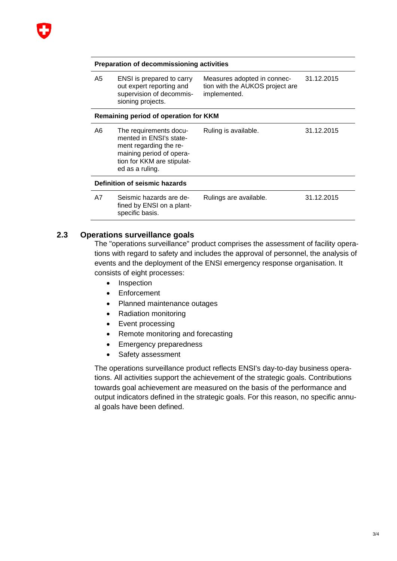

#### **Preparation of decommissioning activities**

| A5 | ENSI is prepared to carry<br>out expert reporting and<br>supervision of decommis-<br>sioning projects. | Measures adopted in connec-<br>tion with the AUKOS project are<br>implemented. | 31.12.2015 |  |
|----|--------------------------------------------------------------------------------------------------------|--------------------------------------------------------------------------------|------------|--|
|    |                                                                                                        |                                                                                |            |  |

#### **Remaining period of operation for KKM**

| A6                                   | The requirements docu-<br>mented in ENSI's state-<br>ment regarding the re-<br>maining period of opera-<br>tion for KKM are stipulat-<br>ed as a ruling. | Ruling is available.   | 31.12.2015 |  |
|--------------------------------------|----------------------------------------------------------------------------------------------------------------------------------------------------------|------------------------|------------|--|
| <b>Definition of seismic hazards</b> |                                                                                                                                                          |                        |            |  |
| A7                                   | Seismic hazards are de-<br>fined by ENSI on a plant-<br>specific basis.                                                                                  | Rulings are available. | 31.12.2015 |  |

#### **2.3 Operations surveillance goals**

The "operations surveillance" product comprises the assessment of facility operations with regard to safety and includes the approval of personnel, the analysis of events and the deployment of the ENSI emergency response organisation. It consists of eight processes:

- Inspection
- Enforcement
- Planned maintenance outages
- Radiation monitoring
- Event processing
- Remote monitoring and forecasting
- Emergency preparedness
- Safety assessment

The operations surveillance product reflects ENSI's day-to-day business operations. All activities support the achievement of the strategic goals. Contributions towards goal achievement are measured on the basis of the performance and output indicators defined in the strategic goals. For this reason, no specific annual goals have been defined.